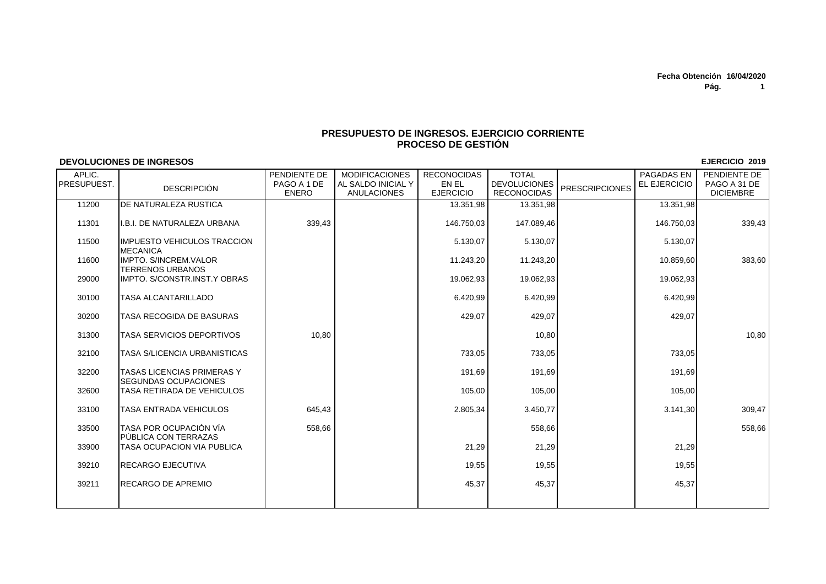## **PRESUPUESTO DE INGRESOS. EJERCICIO CORRIENTEPROCESO DE GESTIÓN**

## **DEVOLUCIONES DE INGRESOS**

| APLIC.<br>PRESUPUEST. | <b>DESCRIPCIÓN</b>                                               | PENDIENTE DE<br>PAGO A 1 DE<br><b>ENERO</b> | <b>MODIFICACIONES</b><br>AL SALDO INICIAL Y<br><b>ANULACIONES</b> | <b>RECONOCIDAS</b><br>EN EL<br><b>EJERCICIO</b> | <b>TOTAL</b><br><b>DEVOLUCIONES</b><br><b>RECONOCIDAS</b> | <b>PRESCRIPCIONES</b> | PAGADAS EN<br>EL EJERCICIO | PENDIENTE DE<br>PAGO A 31 DE<br><b>DICIEMBRE</b> |
|-----------------------|------------------------------------------------------------------|---------------------------------------------|-------------------------------------------------------------------|-------------------------------------------------|-----------------------------------------------------------|-----------------------|----------------------------|--------------------------------------------------|
|                       |                                                                  |                                             |                                                                   |                                                 |                                                           |                       |                            |                                                  |
| 11200                 | <b>IDE NATURALEZA RUSTICA</b>                                    |                                             |                                                                   | 13.351,98                                       | 13.351,98                                                 |                       | 13.351.98                  |                                                  |
| 11301                 | I.B.I. DE NATURALEZA URBANA                                      | 339,43                                      |                                                                   | 146.750,03                                      | 147.089,46                                                |                       | 146.750,03                 | 339,43                                           |
| 11500                 | IIMPUESTO VEHICULOS TRACCION<br><b>MECANICA</b>                  |                                             |                                                                   | 5.130,07                                        | 5.130,07                                                  |                       | 5.130,07                   |                                                  |
| 11600                 | <b>IMPTO, S/INCREM.VALOR</b><br><b>TERRENOS URBANOS</b>          |                                             |                                                                   | 11.243,20                                       | 11.243,20                                                 |                       | 10.859.60                  | 383,60                                           |
| 29000                 | IMPTO. S/CONSTR.INST.Y OBRAS                                     |                                             |                                                                   | 19.062,93                                       | 19.062,93                                                 |                       | 19.062,93                  |                                                  |
| 30100                 | <b>TASA ALCANTARILLADO</b>                                       |                                             |                                                                   | 6.420,99                                        | 6.420,99                                                  |                       | 6.420,99                   |                                                  |
| 30200                 | TASA RECOGIDA DE BASURAS                                         |                                             |                                                                   | 429.07                                          | 429,07                                                    |                       | 429,07                     |                                                  |
| 31300                 | <b>TASA SERVICIOS DEPORTIVOS</b>                                 | 10,80                                       |                                                                   |                                                 | 10,80                                                     |                       |                            | 10,80                                            |
| 32100                 | <b>TASA S/LICENCIA URBANISTICAS</b>                              |                                             |                                                                   | 733,05                                          | 733,05                                                    |                       | 733,05                     |                                                  |
| 32200                 | <b>TASAS LICENCIAS PRIMERAS Y</b><br><b>SEGUNDAS OCUPACIONES</b> |                                             |                                                                   | 191,69                                          | 191,69                                                    |                       | 191,69                     |                                                  |
| 32600                 | TASA RETIRADA DE VEHICULOS                                       |                                             |                                                                   | 105,00                                          | 105,00                                                    |                       | 105,00                     |                                                  |
| 33100                 | TASA ENTRADA VEHICULOS                                           | 645,43                                      |                                                                   | 2.805,34                                        | 3.450,77                                                  |                       | 3.141.30                   | 309,47                                           |
| 33500                 | TASA POR OCUPACIÓN VÍA<br><b>IPUBLICA CON TERRAZAS</b>           | 558,66                                      |                                                                   |                                                 | 558,66                                                    |                       |                            | 558,66                                           |
| 33900                 | TASA OCUPACION VIA PUBLICA                                       |                                             |                                                                   | 21,29                                           | 21,29                                                     |                       | 21,29                      |                                                  |
| 39210                 | <b>RECARGO EJECUTIVA</b>                                         |                                             |                                                                   | 19,55                                           | 19,55                                                     |                       | 19,55                      |                                                  |
| 39211                 | <b>RECARGO DE APREMIO</b>                                        |                                             |                                                                   | 45,37                                           | 45,37                                                     |                       | 45,37                      |                                                  |
|                       |                                                                  |                                             |                                                                   |                                                 |                                                           |                       |                            |                                                  |

**EJERCICIO 2019**